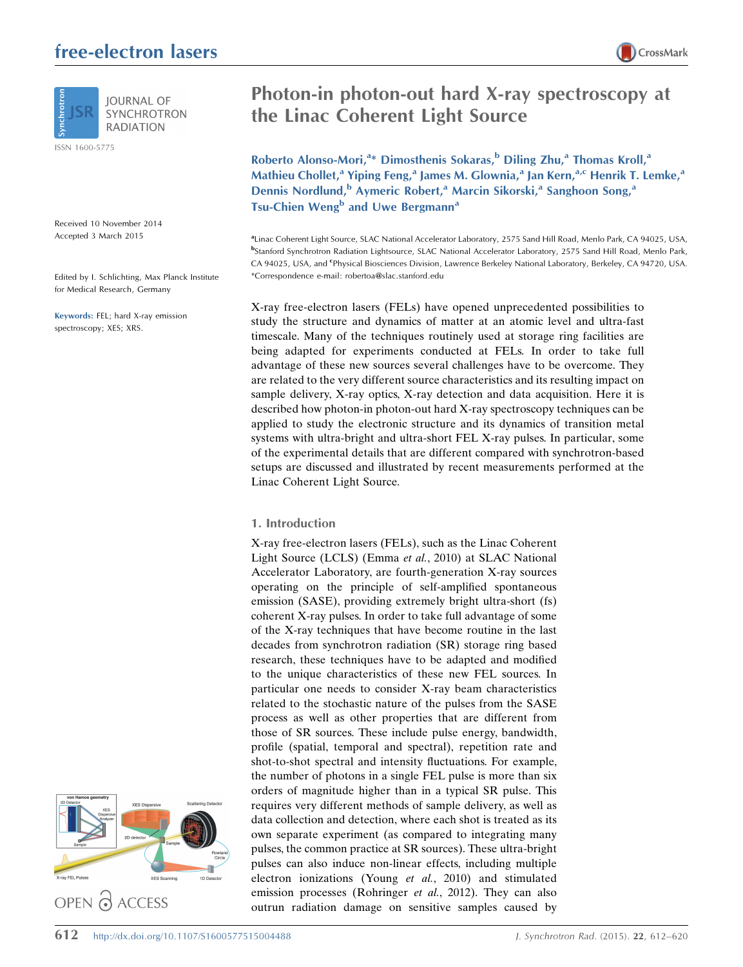# free-electron lasers



ISSN 1600-5775

Received 10 November 2014 Accepted 3 March 2015

Edited by I. Schlichting, Max Planck Institute for Medical Research, Germany

Keywords: FEL; hard X-ray emission spectroscopy; XES; XRS.



## Photon-in photon-out hard X-ray spectroscopy at the Linac Coherent Light Source

Roberto Alonso-Mori,<sup>a\*</sup> Dimosthenis Sokaras,<sup>b</sup> Diling Zhu,<sup>a</sup> Thomas Kroll,<sup>a</sup> Mathieu Chollet,<sup>a</sup> Yiping Feng,<sup>a</sup> James M. Glownia,<sup>a</sup> Jan Kern,<sup>a,c</sup> Henrik T. Lemke,<sup>a</sup> Dennis Nordlund,<sup>b</sup> Aymeric Robert,<sup>a</sup> Marcin Sikorski,<sup>a</sup> Sanghoon Song,<sup>a</sup> Tsu-Chien Weng<sup>b</sup> and Uwe Bergmann<sup>a</sup>

a Linac Coherent Light Source, SLAC National Accelerator Laboratory, 2575 Sand Hill Road, Menlo Park, CA 94025, USA, b Stanford Synchrotron Radiation Lightsource, SLAC National Accelerator Laboratory, 2575 Sand Hill Road, Menlo Park, CA 94025, USA, and <sup>c</sup>Physical Biosciences Division, Lawrence Berkeley National Laboratory, Berkeley, CA 94720, USA. \*Correspondence e-mail: robertoa@slac.stanford.edu

X-ray free-electron lasers (FELs) have opened unprecedented possibilities to study the structure and dynamics of matter at an atomic level and ultra-fast timescale. Many of the techniques routinely used at storage ring facilities are being adapted for experiments conducted at FELs. In order to take full advantage of these new sources several challenges have to be overcome. They are related to the very different source characteristics and its resulting impact on sample delivery, X-ray optics, X-ray detection and data acquisition. Here it is described how photon-in photon-out hard X-ray spectroscopy techniques can be applied to study the electronic structure and its dynamics of transition metal systems with ultra-bright and ultra-short FEL X-ray pulses. In particular, some of the experimental details that are different compared with synchrotron-based setups are discussed and illustrated by recent measurements performed at the Linac Coherent Light Source.

### 1. Introduction

X-ray free-electron lasers (FELs), such as the Linac Coherent Light Source (LCLS) (Emma et al., 2010) at SLAC National Accelerator Laboratory, are fourth-generation X-ray sources operating on the principle of self-amplified spontaneous emission (SASE), providing extremely bright ultra-short (fs) coherent X-ray pulses. In order to take full advantage of some of the X-ray techniques that have become routine in the last decades from synchrotron radiation (SR) storage ring based research, these techniques have to be adapted and modified to the unique characteristics of these new FEL sources. In particular one needs to consider X-ray beam characteristics related to the stochastic nature of the pulses from the SASE process as well as other properties that are different from those of SR sources. These include pulse energy, bandwidth, profile (spatial, temporal and spectral), repetition rate and shot-to-shot spectral and intensity fluctuations. For example, the number of photons in a single FEL pulse is more than six orders of magnitude higher than in a typical SR pulse. This requires very different methods of sample delivery, as well as data collection and detection, where each shot is treated as its own separate experiment (as compared to integrating many pulses, the common practice at SR sources). These ultra-bright pulses can also induce non-linear effects, including multiple electron ionizations (Young et al., 2010) and stimulated emission processes (Rohringer et al., 2012). They can also outrun radiation damage on sensitive samples caused by

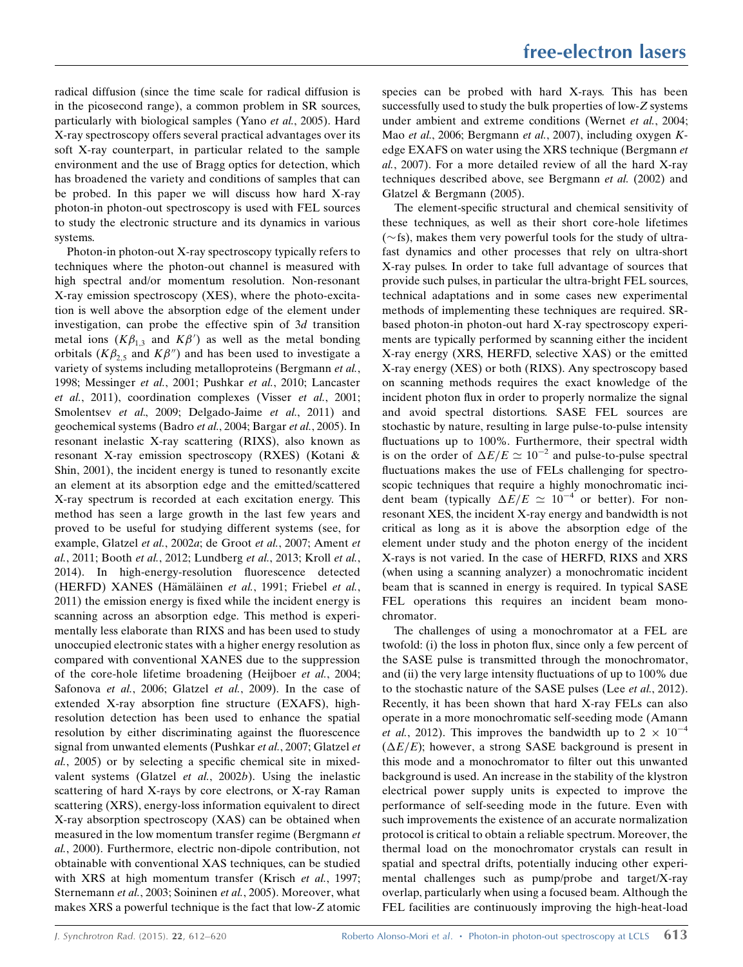radical diffusion (since the time scale for radical diffusion is in the picosecond range), a common problem in SR sources, particularly with biological samples (Yano et al., 2005). Hard X-ray spectroscopy offers several practical advantages over its soft X-ray counterpart, in particular related to the sample environment and the use of Bragg optics for detection, which has broadened the variety and conditions of samples that can be probed. In this paper we will discuss how hard X-ray photon-in photon-out spectroscopy is used with FEL sources to study the electronic structure and its dynamics in various systems.

Photon-in photon-out X-ray spectroscopy typically refers to techniques where the photon-out channel is measured with high spectral and/or momentum resolution. Non-resonant X-ray emission spectroscopy (XES), where the photo-excitation is well above the absorption edge of the element under investigation, can probe the effective spin of 3d transition metal ions  $(K\beta_{1,3}$  and  $K\beta')$  as well as the metal bonding orbitals ( $K\beta_{2,5}$  and  $K\beta''$ ) and has been used to investigate a variety of systems including metalloproteins (Bergmann et al., 1998; Messinger et al., 2001; Pushkar et al., 2010; Lancaster et al., 2011), coordination complexes (Visser et al., 2001; Smolentsev et al., 2009; Delgado-Jaime et al., 2011) and geochemical systems (Badro et al., 2004; Bargar et al., 2005). In resonant inelastic X-ray scattering (RIXS), also known as resonant X-ray emission spectroscopy (RXES) (Kotani & Shin, 2001), the incident energy is tuned to resonantly excite an element at its absorption edge and the emitted/scattered X-ray spectrum is recorded at each excitation energy. This method has seen a large growth in the last few years and proved to be useful for studying different systems (see, for example, Glatzel et al., 2002a; de Groot et al., 2007; Ament et al., 2011; Booth et al., 2012; Lundberg et al., 2013; Kroll et al., 2014). In high-energy-resolution fluorescence detected (HERFD) XANES (Hämäläinen et al., 1991; Friebel et al., 2011) the emission energy is fixed while the incident energy is scanning across an absorption edge. This method is experimentally less elaborate than RIXS and has been used to study unoccupied electronic states with a higher energy resolution as compared with conventional XANES due to the suppression of the core-hole lifetime broadening (Heijboer et al., 2004; Safonova et al., 2006; Glatzel et al., 2009). In the case of extended X-ray absorption fine structure (EXAFS), highresolution detection has been used to enhance the spatial resolution by either discriminating against the fluorescence signal from unwanted elements (Pushkar et al., 2007; Glatzel et al., 2005) or by selecting a specific chemical site in mixedvalent systems (Glatzel et al., 2002b). Using the inelastic scattering of hard X-rays by core electrons, or X-ray Raman scattering (XRS), energy-loss information equivalent to direct X-ray absorption spectroscopy (XAS) can be obtained when measured in the low momentum transfer regime (Bergmann et al., 2000). Furthermore, electric non-dipole contribution, not obtainable with conventional XAS techniques, can be studied with XRS at high momentum transfer (Krisch et al., 1997; Sternemann et al., 2003; Soininen et al., 2005). Moreover, what makes XRS a powerful technique is the fact that low-Z atomic

species can be probed with hard X-rays. This has been successfully used to study the bulk properties of low-Z systems under ambient and extreme conditions (Wernet et al., 2004; Mao et al., 2006; Bergmann et al., 2007), including oxygen Kedge EXAFS on water using the XRS technique (Bergmann et al., 2007). For a more detailed review of all the hard X-ray techniques described above, see Bergmann et al. (2002) and Glatzel & Bergmann (2005).

The element-specific structural and chemical sensitivity of these techniques, as well as their short core-hole lifetimes  $(\sim$ fs), makes them very powerful tools for the study of ultrafast dynamics and other processes that rely on ultra-short X-ray pulses. In order to take full advantage of sources that provide such pulses, in particular the ultra-bright FEL sources, technical adaptations and in some cases new experimental methods of implementing these techniques are required. SRbased photon-in photon-out hard X-ray spectroscopy experiments are typically performed by scanning either the incident X-ray energy (XRS, HERFD, selective XAS) or the emitted X-ray energy (XES) or both (RIXS). Any spectroscopy based on scanning methods requires the exact knowledge of the incident photon flux in order to properly normalize the signal and avoid spectral distortions. SASE FEL sources are stochastic by nature, resulting in large pulse-to-pulse intensity fluctuations up to 100%. Furthermore, their spectral width is on the order of  $\Delta E/E \simeq 10^{-2}$  and pulse-to-pulse spectral fluctuations makes the use of FELs challenging for spectroscopic techniques that require a highly monochromatic incident beam (typically  $\Delta E/E \simeq 10^{-4}$  or better). For nonresonant XES, the incident X-ray energy and bandwidth is not critical as long as it is above the absorption edge of the element under study and the photon energy of the incident X-rays is not varied. In the case of HERFD, RIXS and XRS (when using a scanning analyzer) a monochromatic incident beam that is scanned in energy is required. In typical SASE FEL operations this requires an incident beam monochromator.

The challenges of using a monochromator at a FEL are twofold: (i) the loss in photon flux, since only a few percent of the SASE pulse is transmitted through the monochromator, and (ii) the very large intensity fluctuations of up to 100% due to the stochastic nature of the SASE pulses (Lee *et al.*, 2012). Recently, it has been shown that hard X-ray FELs can also operate in a more monochromatic self-seeding mode (Amann *et al.*, 2012). This improves the bandwidth up to  $2 \times 10^{-4}$  $(\Delta E/E)$ ; however, a strong SASE background is present in this mode and a monochromator to filter out this unwanted background is used. An increase in the stability of the klystron electrical power supply units is expected to improve the performance of self-seeding mode in the future. Even with such improvements the existence of an accurate normalization protocol is critical to obtain a reliable spectrum. Moreover, the thermal load on the monochromator crystals can result in spatial and spectral drifts, potentially inducing other experimental challenges such as pump/probe and target/X-ray overlap, particularly when using a focused beam. Although the FEL facilities are continuously improving the high-heat-load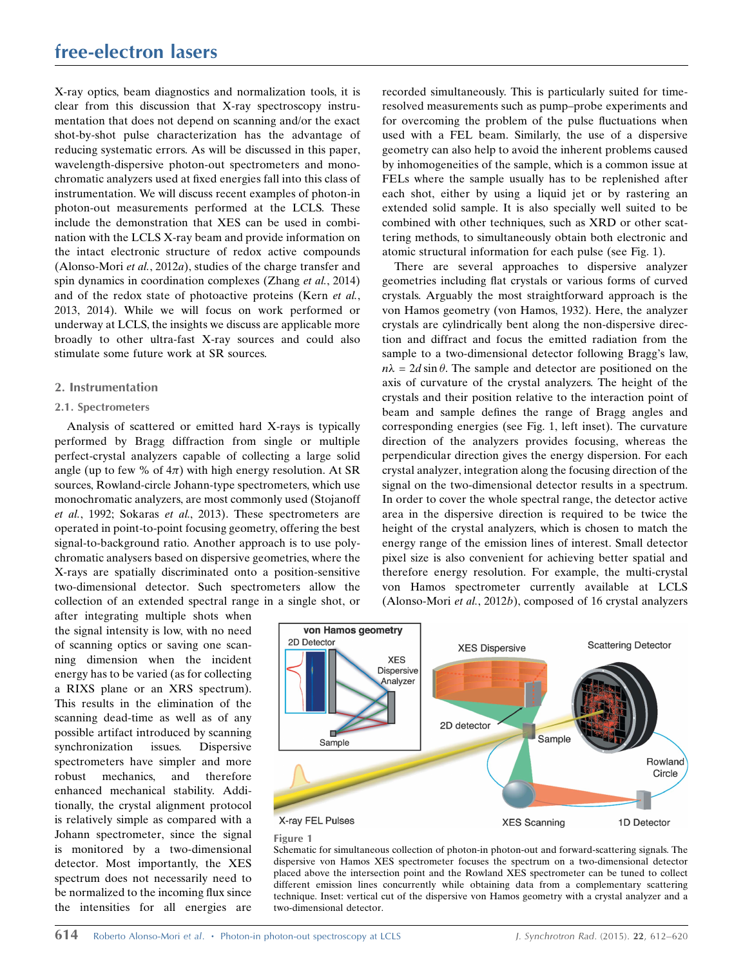X-ray optics, beam diagnostics and normalization tools, it is clear from this discussion that X-ray spectroscopy instrumentation that does not depend on scanning and/or the exact shot-by-shot pulse characterization has the advantage of reducing systematic errors. As will be discussed in this paper, wavelength-dispersive photon-out spectrometers and monochromatic analyzers used at fixed energies fall into this class of instrumentation. We will discuss recent examples of photon-in photon-out measurements performed at the LCLS. These include the demonstration that XES can be used in combination with the LCLS X-ray beam and provide information on the intact electronic structure of redox active compounds (Alonso-Mori et al., 2012a), studies of the charge transfer and spin dynamics in coordination complexes (Zhang et al., 2014) and of the redox state of photoactive proteins (Kern et al., 2013, 2014). While we will focus on work performed or underway at LCLS, the insights we discuss are applicable more broadly to other ultra-fast X-ray sources and could also stimulate some future work at SR sources.

### 2. Instrumentation

#### 2.1. Spectrometers

Analysis of scattered or emitted hard X-rays is typically performed by Bragg diffraction from single or multiple perfect-crystal analyzers capable of collecting a large solid angle (up to few % of  $4\pi$ ) with high energy resolution. At SR sources, Rowland-circle Johann-type spectrometers, which use monochromatic analyzers, are most commonly used (Stojanoff et al., 1992; Sokaras et al., 2013). These spectrometers are operated in point-to-point focusing geometry, offering the best signal-to-background ratio. Another approach is to use polychromatic analysers based on dispersive geometries, where the X-rays are spatially discriminated onto a position-sensitive two-dimensional detector. Such spectrometers allow the collection of an extended spectral range in a single shot, or

after integrating multiple shots when the signal intensity is low, with no need of scanning optics or saving one scanning dimension when the incident energy has to be varied (as for collecting a RIXS plane or an XRS spectrum). This results in the elimination of the scanning dead-time as well as of any possible artifact introduced by scanning synchronization issues. Dispersive spectrometers have simpler and more robust mechanics, and therefore enhanced mechanical stability. Additionally, the crystal alignment protocol is relatively simple as compared with a Johann spectrometer, since the signal is monitored by a two-dimensional detector. Most importantly, the XES spectrum does not necessarily need to be normalized to the incoming flux since the intensities for all energies are

recorded simultaneously. This is particularly suited for timeresolved measurements such as pump–probe experiments and for overcoming the problem of the pulse fluctuations when used with a FEL beam. Similarly, the use of a dispersive geometry can also help to avoid the inherent problems caused by inhomogeneities of the sample, which is a common issue at FELs where the sample usually has to be replenished after each shot, either by using a liquid jet or by rastering an extended solid sample. It is also specially well suited to be combined with other techniques, such as XRD or other scattering methods, to simultaneously obtain both electronic and atomic structural information for each pulse (see Fig. 1).

There are several approaches to dispersive analyzer geometries including flat crystals or various forms of curved crystals. Arguably the most straightforward approach is the von Hamos geometry (von Hamos, 1932). Here, the analyzer crystals are cylindrically bent along the non-dispersive direction and diffract and focus the emitted radiation from the sample to a two-dimensional detector following Bragg's law,  $n\lambda = 2d \sin \theta$ . The sample and detector are positioned on the axis of curvature of the crystal analyzers. The height of the crystals and their position relative to the interaction point of beam and sample defines the range of Bragg angles and corresponding energies (see Fig. 1, left inset). The curvature direction of the analyzers provides focusing, whereas the perpendicular direction gives the energy dispersion. For each crystal analyzer, integration along the focusing direction of the signal on the two-dimensional detector results in a spectrum. In order to cover the whole spectral range, the detector active area in the dispersive direction is required to be twice the height of the crystal analyzers, which is chosen to match the energy range of the emission lines of interest. Small detector pixel size is also convenient for achieving better spatial and therefore energy resolution. For example, the multi-crystal von Hamos spectrometer currently available at LCLS (Alonso-Mori et al., 2012b), composed of 16 crystal analyzers



#### Figure 1

Schematic for simultaneous collection of photon-in photon-out and forward-scattering signals. The dispersive von Hamos XES spectrometer focuses the spectrum on a two-dimensional detector placed above the intersection point and the Rowland XES spectrometer can be tuned to collect different emission lines concurrently while obtaining data from a complementary scattering technique. Inset: vertical cut of the dispersive von Hamos geometry with a crystal analyzer and a two-dimensional detector.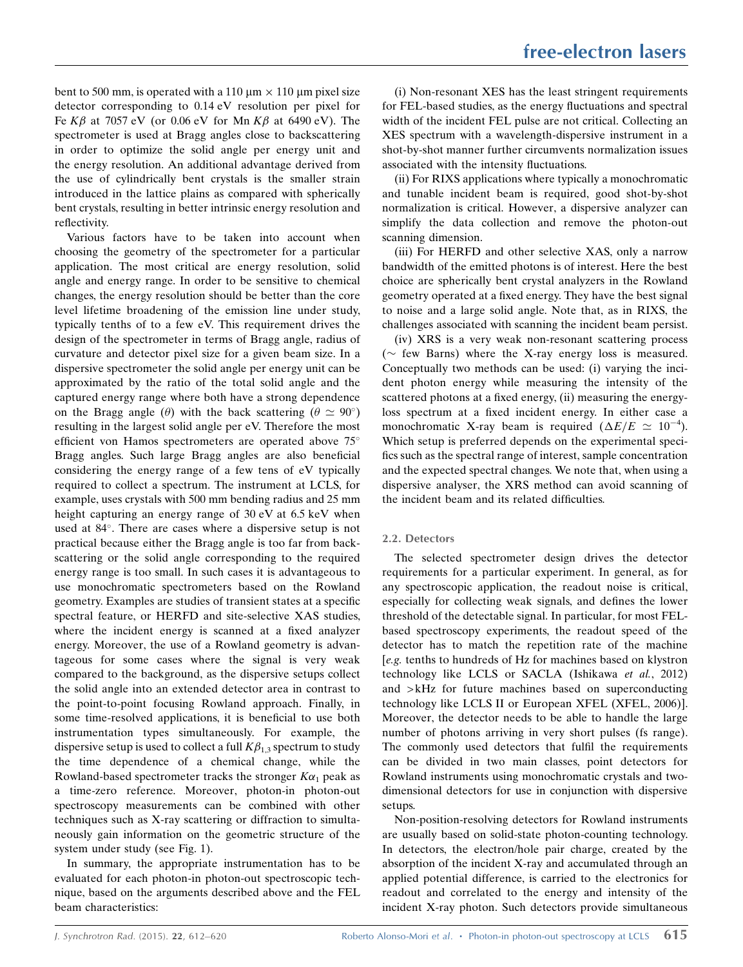bent to 500 mm, is operated with a 110  $\mu$ m  $\times$  110  $\mu$ m pixel size detector corresponding to 0.14 eV resolution per pixel for Fe  $K\beta$  at 7057 eV (or 0.06 eV for Mn  $K\beta$  at 6490 eV). The spectrometer is used at Bragg angles close to backscattering in order to optimize the solid angle per energy unit and the energy resolution. An additional advantage derived from the use of cylindrically bent crystals is the smaller strain introduced in the lattice plains as compared with spherically bent crystals, resulting in better intrinsic energy resolution and reflectivity.

Various factors have to be taken into account when choosing the geometry of the spectrometer for a particular application. The most critical are energy resolution, solid angle and energy range. In order to be sensitive to chemical changes, the energy resolution should be better than the core level lifetime broadening of the emission line under study, typically tenths of to a few eV. This requirement drives the design of the spectrometer in terms of Bragg angle, radius of curvature and detector pixel size for a given beam size. In a dispersive spectrometer the solid angle per energy unit can be approximated by the ratio of the total solid angle and the captured energy range where both have a strong dependence on the Bragg angle ( $\theta$ ) with the back scattering ( $\theta \simeq 90^{\circ}$ ) resulting in the largest solid angle per eV. Therefore the most efficient von Hamos spectrometers are operated above 75 Bragg angles. Such large Bragg angles are also beneficial considering the energy range of a few tens of eV typically required to collect a spectrum. The instrument at LCLS, for example, uses crystals with 500 mm bending radius and 25 mm height capturing an energy range of 30 eV at 6.5 keV when used at 84°. There are cases where a dispersive setup is not practical because either the Bragg angle is too far from backscattering or the solid angle corresponding to the required energy range is too small. In such cases it is advantageous to use monochromatic spectrometers based on the Rowland geometry. Examples are studies of transient states at a specific spectral feature, or HERFD and site-selective XAS studies, where the incident energy is scanned at a fixed analyzer energy. Moreover, the use of a Rowland geometry is advantageous for some cases where the signal is very weak compared to the background, as the dispersive setups collect the solid angle into an extended detector area in contrast to the point-to-point focusing Rowland approach. Finally, in some time-resolved applications, it is beneficial to use both instrumentation types simultaneously. For example, the dispersive setup is used to collect a full  $K\beta_{1,3}$  spectrum to study the time dependence of a chemical change, while the Rowland-based spectrometer tracks the stronger  $K\alpha_1$  peak as a time-zero reference. Moreover, photon-in photon-out spectroscopy measurements can be combined with other techniques such as X-ray scattering or diffraction to simultaneously gain information on the geometric structure of the system under study (see Fig. 1).

In summary, the appropriate instrumentation has to be evaluated for each photon-in photon-out spectroscopic technique, based on the arguments described above and the FEL beam characteristics:

(i) Non-resonant XES has the least stringent requirements for FEL-based studies, as the energy fluctuations and spectral width of the incident FEL pulse are not critical. Collecting an XES spectrum with a wavelength-dispersive instrument in a shot-by-shot manner further circumvents normalization issues associated with the intensity fluctuations.

(ii) For RIXS applications where typically a monochromatic and tunable incident beam is required, good shot-by-shot normalization is critical. However, a dispersive analyzer can simplify the data collection and remove the photon-out scanning dimension.

(iii) For HERFD and other selective XAS, only a narrow bandwidth of the emitted photons is of interest. Here the best choice are spherically bent crystal analyzers in the Rowland geometry operated at a fixed energy. They have the best signal to noise and a large solid angle. Note that, as in RIXS, the challenges associated with scanning the incident beam persist.

(iv) XRS is a very weak non-resonant scattering process  $(\sim$  few Barns) where the X-ray energy loss is measured. Conceptually two methods can be used: (i) varying the incident photon energy while measuring the intensity of the scattered photons at a fixed energy, (ii) measuring the energyloss spectrum at a fixed incident energy. In either case a monochromatic X-ray beam is required  $(\Delta E/E \simeq 10^{-4})$ . Which setup is preferred depends on the experimental specifics such as the spectral range of interest, sample concentration and the expected spectral changes. We note that, when using a dispersive analyser, the XRS method can avoid scanning of the incident beam and its related difficulties.

### 2.2. Detectors

The selected spectrometer design drives the detector requirements for a particular experiment. In general, as for any spectroscopic application, the readout noise is critical, especially for collecting weak signals, and defines the lower threshold of the detectable signal. In particular, for most FELbased spectroscopy experiments, the readout speed of the detector has to match the repetition rate of the machine [e.g. tenths to hundreds of Hz for machines based on klystron technology like LCLS or SACLA (Ishikawa et al., 2012) and >kHz for future machines based on superconducting technology like LCLS II or European XFEL (XFEL, 2006)]. Moreover, the detector needs to be able to handle the large number of photons arriving in very short pulses (fs range). The commonly used detectors that fulfil the requirements can be divided in two main classes, point detectors for Rowland instruments using monochromatic crystals and twodimensional detectors for use in conjunction with dispersive setups.

Non-position-resolving detectors for Rowland instruments are usually based on solid-state photon-counting technology. In detectors, the electron/hole pair charge, created by the absorption of the incident X-ray and accumulated through an applied potential difference, is carried to the electronics for readout and correlated to the energy and intensity of the incident X-ray photon. Such detectors provide simultaneous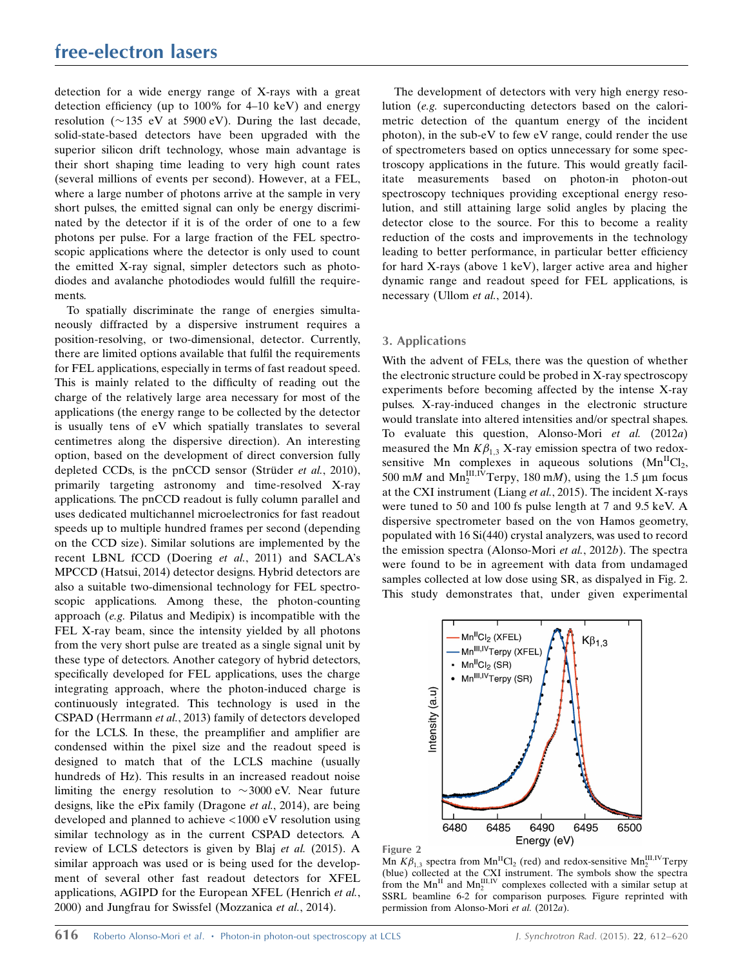detection for a wide energy range of X-rays with a great detection efficiency (up to 100% for 4–10 keV) and energy resolution ( $\sim$ 135 eV at 5900 eV). During the last decade, solid-state-based detectors have been upgraded with the superior silicon drift technology, whose main advantage is their short shaping time leading to very high count rates (several millions of events per second). However, at a FEL, where a large number of photons arrive at the sample in very short pulses, the emitted signal can only be energy discriminated by the detector if it is of the order of one to a few photons per pulse. For a large fraction of the FEL spectroscopic applications where the detector is only used to count the emitted X-ray signal, simpler detectors such as photodiodes and avalanche photodiodes would fulfill the requirements.

To spatially discriminate the range of energies simultaneously diffracted by a dispersive instrument requires a position-resolving, or two-dimensional, detector. Currently, there are limited options available that fulfil the requirements for FEL applications, especially in terms of fast readout speed. This is mainly related to the difficulty of reading out the charge of the relatively large area necessary for most of the applications (the energy range to be collected by the detector is usually tens of eV which spatially translates to several centimetres along the dispersive direction). An interesting option, based on the development of direct conversion fully depleted CCDs, is the pnCCD sensor (Strüder et al., 2010), primarily targeting astronomy and time-resolved X-ray applications. The pnCCD readout is fully column parallel and uses dedicated multichannel microelectronics for fast readout speeds up to multiple hundred frames per second (depending on the CCD size). Similar solutions are implemented by the recent LBNL fCCD (Doering et al., 2011) and SACLA's MPCCD (Hatsui, 2014) detector designs. Hybrid detectors are also a suitable two-dimensional technology for FEL spectroscopic applications. Among these, the photon-counting approach (e.g. Pilatus and Medipix) is incompatible with the FEL X-ray beam, since the intensity yielded by all photons from the very short pulse are treated as a single signal unit by these type of detectors. Another category of hybrid detectors, specifically developed for FEL applications, uses the charge integrating approach, where the photon-induced charge is continuously integrated. This technology is used in the CSPAD (Herrmann et al., 2013) family of detectors developed for the LCLS. In these, the preamplifier and amplifier are condensed within the pixel size and the readout speed is designed to match that of the LCLS machine (usually hundreds of Hz). This results in an increased readout noise limiting the energy resolution to  $\sim$  3000 eV. Near future designs, like the ePix family (Dragone et al., 2014), are being developed and planned to achieve <1000 eV resolution using similar technology as in the current CSPAD detectors. A review of LCLS detectors is given by Blaj et al. (2015). A similar approach was used or is being used for the development of several other fast readout detectors for XFEL applications, AGIPD for the European XFEL (Henrich et al., 2000) and Jungfrau for Swissfel (Mozzanica et al., 2014).

The development of detectors with very high energy resolution (e.g. superconducting detectors based on the calorimetric detection of the quantum energy of the incident photon), in the sub-eV to few eV range, could render the use of spectrometers based on optics unnecessary for some spectroscopy applications in the future. This would greatly facilitate measurements based on photon-in photon-out spectroscopy techniques providing exceptional energy resolution, and still attaining large solid angles by placing the detector close to the source. For this to become a reality reduction of the costs and improvements in the technology leading to better performance, in particular better efficiency for hard X-rays (above 1 keV), larger active area and higher dynamic range and readout speed for FEL applications, is necessary (Ullom et al., 2014).

### 3. Applications

With the advent of FELs, there was the question of whether the electronic structure could be probed in X-ray spectroscopy experiments before becoming affected by the intense X-ray pulses. X-ray-induced changes in the electronic structure would translate into altered intensities and/or spectral shapes. To evaluate this question, Alonso-Mori et al. (2012a) measured the Mn  $K\beta_{1,3}$  X-ray emission spectra of two redoxsensitive Mn complexes in aqueous solutions  $(Mn<sup>H</sup>Cl<sub>2</sub>)$ , 500 mM and  $Mn_2^{\text{III,IV}}$  Terpy, 180 mM), using the 1.5 µm focus at the CXI instrument (Liang et al., 2015). The incident X-rays were tuned to 50 and 100 fs pulse length at 7 and 9.5 keV. A dispersive spectrometer based on the von Hamos geometry, populated with 16 Si(440) crystal analyzers, was used to record the emission spectra (Alonso-Mori et al., 2012b). The spectra were found to be in agreement with data from undamaged samples collected at low dose using SR, as dispalyed in Fig. 2. This study demonstrates that, under given experimental



Figure 2

Mn  $K\beta_{1,3}$  spectra from Mn<sup>II</sup>Cl<sub>2</sub> (red) and redox-sensitive Mn<sub>2</sub><sup>III,IV</sup>Terpy (blue) collected at the CXI instrument. The symbols show the spectra from the  $Mn^{II}$  and  $Mn^{III,IV}_2$  complexes collected with a similar setup at SSRL beamline 6-2 for comparison purposes. Figure reprinted with permission from Alonso-Mori et al. (2012a).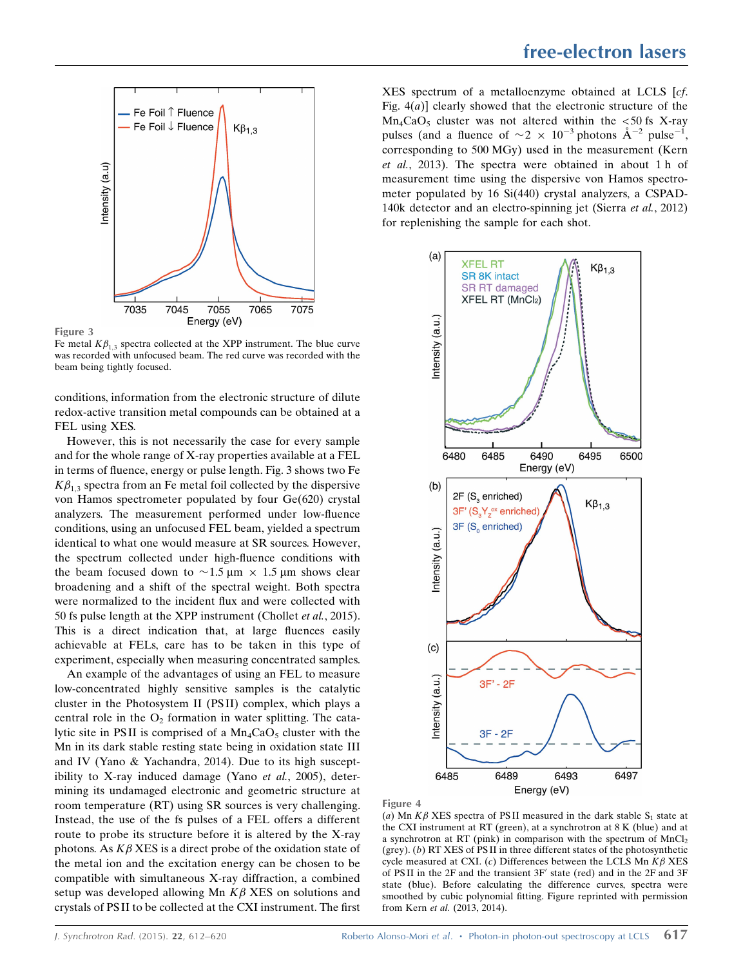

Figure 3

Fe metal  $K\beta_{1,3}$  spectra collected at the XPP instrument. The blue curve was recorded with unfocused beam. The red curve was recorded with the beam being tightly focused.

conditions, information from the electronic structure of dilute redox-active transition metal compounds can be obtained at a FEL using XES.

However, this is not necessarily the case for every sample and for the whole range of X-ray properties available at a FEL in terms of fluence, energy or pulse length. Fig. 3 shows two Fe  $K\beta_{1,3}$  spectra from an Fe metal foil collected by the dispersive von Hamos spectrometer populated by four Ge(620) crystal analyzers. The measurement performed under low-fluence conditions, using an unfocused FEL beam, yielded a spectrum identical to what one would measure at SR sources. However, the spectrum collected under high-fluence conditions with the beam focused down to  $\sim$ 1.5  $\mu$ m  $\times$  1.5  $\mu$ m shows clear broadening and a shift of the spectral weight. Both spectra were normalized to the incident flux and were collected with 50 fs pulse length at the XPP instrument (Chollet et al., 2015). This is a direct indication that, at large fluences easily achievable at FELs, care has to be taken in this type of experiment, especially when measuring concentrated samples.

An example of the advantages of using an FEL to measure low-concentrated highly sensitive samples is the catalytic cluster in the Photosystem II (PS II) complex, which plays a central role in the  $O_2$  formation in water splitting. The catalytic site in PSII is comprised of a  $Mn_4CaO_5$  cluster with the Mn in its dark stable resting state being in oxidation state III and IV (Yano & Yachandra, 2014). Due to its high susceptibility to X-ray induced damage (Yano et al., 2005), determining its undamaged electronic and geometric structure at room temperature (RT) using SR sources is very challenging. Instead, the use of the fs pulses of a FEL offers a different route to probe its structure before it is altered by the X-ray photons. As  $K\beta$  XES is a direct probe of the oxidation state of the metal ion and the excitation energy can be chosen to be compatible with simultaneous X-ray diffraction, a combined setup was developed allowing Mn  $K\beta$  XES on solutions and crystals of PS II to be collected at the CXI instrument. The first XES spectrum of a metalloenzyme obtained at LCLS [cf. Fig.  $4(a)$ ] clearly showed that the electronic structure of the  $Mn_4CaO<sub>5</sub>$  cluster was not altered within the <50 fs X-ray pulses (and a fluence of  $\sim$ 2  $\times$  10<sup>-3</sup> photons  $\AA^{-2}$  pulse<sup>-1</sup>, corresponding to 500 MGy) used in the measurement (Kern et al., 2013). The spectra were obtained in about 1 h of measurement time using the dispersive von Hamos spectrometer populated by 16 Si(440) crystal analyzers, a CSPAD-140k detector and an electro-spinning jet (Sierra et al., 2012) for replenishing the sample for each shot.





(a) Mn  $K\beta$  XES spectra of PSII measured in the dark stable S<sub>1</sub> state at the CXI instrument at RT (green), at a synchrotron at 8 K (blue) and at a synchrotron at RT (pink) in comparison with the spectrum of  $MnCl<sub>2</sub>$ (grey). (b) RT XES of PS II in three different states of the photosynthetic cycle measured at CXI.  $(c)$  Differences between the LCLS Mn  $K\beta$  XES of PSII in the  $2F$  and the transient  $3F'$  state (red) and in the  $2F$  and  $3F$ state (blue). Before calculating the difference curves, spectra were smoothed by cubic polynomial fitting. Figure reprinted with permission from Kern et al. (2013, 2014).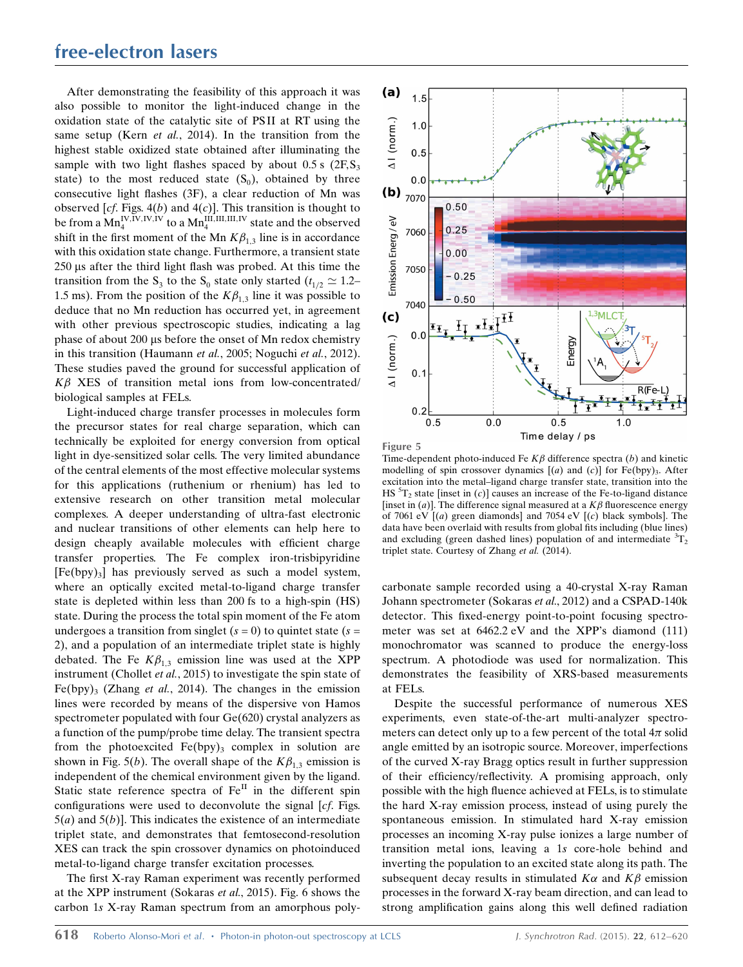### free-electron lasers

After demonstrating the feasibility of this approach it was also possible to monitor the light-induced change in the oxidation state of the catalytic site of PS II at RT using the same setup (Kern *et al.*, 2014). In the transition from the highest stable oxidized state obtained after illuminating the sample with two light flashes spaced by about  $0.5$  s  $(2F, S<sub>3</sub>)$ state) to the most reduced state  $(S_0)$ , obtained by three consecutive light flashes (3F), a clear reduction of Mn was observed  $[cf. Figs. 4(b)$  and  $4(c)$ ]. This transition is thought to be from a  $Mn_4^{\rm IV, IV, IV, IV}$  to a  $Mn_4^{\rm III, III, II, IV}$  state and the observed shift in the first moment of the Mn  $K\beta_{1,3}$  line is in accordance with this oxidation state change. Furthermore, a transient state  $250 \mu s$  after the third light flash was probed. At this time the transition from the S<sub>3</sub> to the S<sub>0</sub> state only started ( $t_{1/2} \simeq 1.2-$ 1.5 ms). From the position of the  $K\beta_{1,3}$  line it was possible to deduce that no Mn reduction has occurred yet, in agreement with other previous spectroscopic studies, indicating a lag phase of about 200 µs before the onset of Mn redox chemistry in this transition (Haumann et al., 2005; Noguchi et al., 2012). These studies paved the ground for successful application of  $K\beta$  XES of transition metal ions from low-concentrated/ biological samples at FELs.

Light-induced charge transfer processes in molecules form the precursor states for real charge separation, which can technically be exploited for energy conversion from optical light in dye-sensitized solar cells. The very limited abundance of the central elements of the most effective molecular systems for this applications (ruthenium or rhenium) has led to extensive research on other transition metal molecular complexes. A deeper understanding of ultra-fast electronic and nuclear transitions of other elements can help here to design cheaply available molecules with efficient charge transfer properties. The Fe complex iron-trisbipyridine  $[Fe(bpy)_3]$  has previously served as such a model system, where an optically excited metal-to-ligand charge transfer state is depleted within less than 200 fs to a high-spin (HS) state. During the process the total spin moment of the Fe atom undergoes a transition from singlet  $(s = 0)$  to quintet state  $(s = 0)$ 2), and a population of an intermediate triplet state is highly debated. The Fe  $K\beta_{1,3}$  emission line was used at the XPP instrument (Chollet et al., 2015) to investigate the spin state of Fe(bpy)<sub>3</sub> (Zhang *et al.*, 2014). The changes in the emission lines were recorded by means of the dispersive von Hamos spectrometer populated with four Ge(620) crystal analyzers as a function of the pump/probe time delay. The transient spectra from the photoexcited  $Fe(bpy)_3$  complex in solution are shown in Fig. 5(*b*). The overall shape of the  $K\beta_{1,3}$  emission is independent of the chemical environment given by the ligand. Static state reference spectra of  $Fe<sup>H</sup>$  in the different spin configurations were used to deconvolute the signal [cf. Figs.  $5(a)$  and  $5(b)$ ]. This indicates the existence of an intermediate triplet state, and demonstrates that femtosecond-resolution XES can track the spin crossover dynamics on photoinduced metal-to-ligand charge transfer excitation processes.

The first X-ray Raman experiment was recently performed at the XPP instrument (Sokaras et al., 2015). Fig. 6 shows the carbon 1s X-ray Raman spectrum from an amorphous poly-



Figure 5 Time-dependent photo-induced Fe  $K\beta$  difference spectra (b) and kinetic modelling of spin crossover dynamics  $[(a)$  and  $(c)]$  for Fe(bpy)<sub>3</sub>. After excitation into the metal–ligand charge transfer state, transition into the HS  ${}^{5}T_2$  state [inset in (c)] causes an increase of the Fe-to-ligand distance [inset in (a)]. The difference signal measured at a  $K\beta$  fluorescence energy of 7061 eV  $[(a)$  green diamonds] and 7054 eV  $[(c)$  black symbols]. The data have been overlaid with results from global fits including (blue lines) and excluding (green dashed lines) population of and intermediate  ${}^{3}T_{2}$ triplet state. Courtesy of Zhang et al. (2014).

carbonate sample recorded using a 40-crystal X-ray Raman Johann spectrometer (Sokaras et al., 2012) and a CSPAD-140k detector. This fixed-energy point-to-point focusing spectrometer was set at 6462.2 eV and the XPP's diamond (111) monochromator was scanned to produce the energy-loss spectrum. A photodiode was used for normalization. This demonstrates the feasibility of XRS-based measurements at FELs.

Despite the successful performance of numerous XES experiments, even state-of-the-art multi-analyzer spectrometers can detect only up to a few percent of the total  $4\pi$  solid angle emitted by an isotropic source. Moreover, imperfections of the curved X-ray Bragg optics result in further suppression of their efficiency/reflectivity. A promising approach, only possible with the high fluence achieved at FELs, is to stimulate the hard X-ray emission process, instead of using purely the spontaneous emission. In stimulated hard X-ray emission processes an incoming X-ray pulse ionizes a large number of transition metal ions, leaving a 1s core-hole behind and inverting the population to an excited state along its path. The subsequent decay results in stimulated  $K\alpha$  and  $K\beta$  emission processes in the forward X-ray beam direction, and can lead to strong amplification gains along this well defined radiation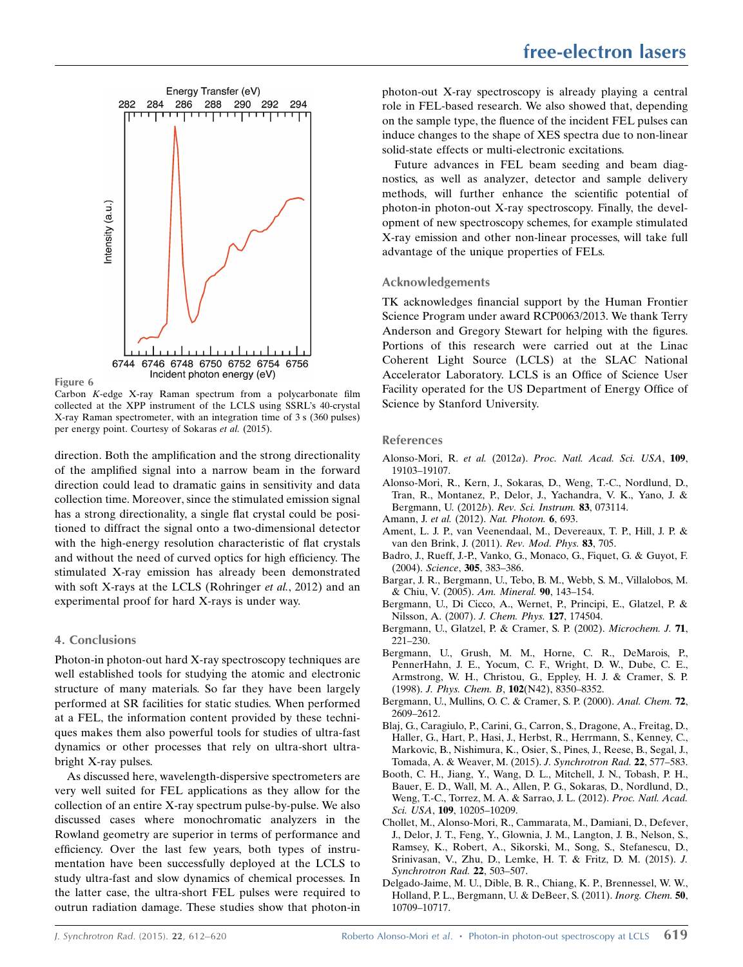

Figure 6

Carbon K-edge X-ray Raman spectrum from a polycarbonate film collected at the XPP instrument of the LCLS using SSRL's 40-crystal X-ray Raman spectrometer, with an integration time of 3 s (360 pulses) per energy point. Courtesy of Sokaras et al. (2015).

direction. Both the amplification and the strong directionality of the amplified signal into a narrow beam in the forward direction could lead to dramatic gains in sensitivity and data collection time. Moreover, since the stimulated emission signal has a strong directionality, a single flat crystal could be positioned to diffract the signal onto a two-dimensional detector with the high-energy resolution characteristic of flat crystals and without the need of curved optics for high efficiency. The stimulated X-ray emission has already been demonstrated with soft X-rays at the LCLS (Rohringer et al., 2012) and an experimental proof for hard X-rays is under way.

### 4. Conclusions

Photon-in photon-out hard X-ray spectroscopy techniques are well established tools for studying the atomic and electronic structure of many materials. So far they have been largely performed at SR facilities for static studies. When performed at a FEL, the information content provided by these techniques makes them also powerful tools for studies of ultra-fast dynamics or other processes that rely on ultra-short ultrabright X-ray pulses.

As discussed here, wavelength-dispersive spectrometers are very well suited for FEL applications as they allow for the collection of an entire X-ray spectrum pulse-by-pulse. We also discussed cases where monochromatic analyzers in the Rowland geometry are superior in terms of performance and efficiency. Over the last few years, both types of instrumentation have been successfully deployed at the LCLS to study ultra-fast and slow dynamics of chemical processes. In the latter case, the ultra-short FEL pulses were required to outrun radiation damage. These studies show that photon-in photon-out X-ray spectroscopy is already playing a central role in FEL-based research. We also showed that, depending on the sample type, the fluence of the incident FEL pulses can induce changes to the shape of XES spectra due to non-linear solid-state effects or multi-electronic excitations.

Future advances in FEL beam seeding and beam diagnostics, as well as analyzer, detector and sample delivery methods, will further enhance the scientific potential of photon-in photon-out X-ray spectroscopy. Finally, the development of new spectroscopy schemes, for example stimulated X-ray emission and other non-linear processes, will take full advantage of the unique properties of FELs.

### Acknowledgements

TK acknowledges financial support by the Human Frontier Science Program under award RCP0063/2013. We thank Terry Anderson and Gregory Stewart for helping with the figures. Portions of this research were carried out at the Linac Coherent Light Source (LCLS) at the SLAC National Accelerator Laboratory. LCLS is an Office of Science User Facility operated for the US Department of Energy Office of Science by Stanford University.

#### References

- Alonso-Mori, R. et al. (2012a). [Proc. Natl. Acad. Sci. USA](http://scripts.iucr.org/cgi-bin/cr.cgi?rm=pdfbb&cnor=ig5022&bbid=BB1), 109, [19103–19107.](http://scripts.iucr.org/cgi-bin/cr.cgi?rm=pdfbb&cnor=ig5022&bbid=BB1)
- [Alonso-Mori, R., Kern, J., Sokaras, D., Weng, T.-C., Nordlund, D.,](http://scripts.iucr.org/cgi-bin/cr.cgi?rm=pdfbb&cnor=ig5022&bbid=BB2) [Tran, R., Montanez, P., Delor, J., Yachandra, V. K., Yano, J. &](http://scripts.iucr.org/cgi-bin/cr.cgi?rm=pdfbb&cnor=ig5022&bbid=BB2) [Bergmann, U. \(2012](http://scripts.iucr.org/cgi-bin/cr.cgi?rm=pdfbb&cnor=ig5022&bbid=BB2)b). Rev. Sci. Instrum. 83, 073114.
- Amann, J. et al. (2012). [Nat. Photon.](http://scripts.iucr.org/cgi-bin/cr.cgi?rm=pdfbb&cnor=ig5022&bbid=BB3) 6, 693.
- [Ament, L. J. P., van Veenendaal, M., Devereaux, T. P., Hill, J. P. &](http://scripts.iucr.org/cgi-bin/cr.cgi?rm=pdfbb&cnor=ig5022&bbid=BB4) [van den Brink, J. \(2011\).](http://scripts.iucr.org/cgi-bin/cr.cgi?rm=pdfbb&cnor=ig5022&bbid=BB4) Rev. Mod. Phys. 83, 705.
- [Badro, J., Rueff, J.-P., Vanko, G., Monaco, G., Fiquet, G. & Guyot, F.](http://scripts.iucr.org/cgi-bin/cr.cgi?rm=pdfbb&cnor=ig5022&bbid=BB5) (2004). Science, 305[, 383–386.](http://scripts.iucr.org/cgi-bin/cr.cgi?rm=pdfbb&cnor=ig5022&bbid=BB5)
- [Bargar, J. R., Bergmann, U., Tebo, B. M., Webb, S. M., Villalobos, M.](http://scripts.iucr.org/cgi-bin/cr.cgi?rm=pdfbb&cnor=ig5022&bbid=BB6) [& Chiu, V. \(2005\).](http://scripts.iucr.org/cgi-bin/cr.cgi?rm=pdfbb&cnor=ig5022&bbid=BB6) Am. Mineral. 90, 143–154.
- [Bergmann, U., Di Cicco, A., Wernet, P., Principi, E., Glatzel, P. &](http://scripts.iucr.org/cgi-bin/cr.cgi?rm=pdfbb&cnor=ig5022&bbid=BB7) [Nilsson, A. \(2007\).](http://scripts.iucr.org/cgi-bin/cr.cgi?rm=pdfbb&cnor=ig5022&bbid=BB7) J. Chem. Phys. 127, 174504.
- [Bergmann, U., Glatzel, P. & Cramer, S. P. \(2002\).](http://scripts.iucr.org/cgi-bin/cr.cgi?rm=pdfbb&cnor=ig5022&bbid=BB8) Microchem. J. 71, [221–230.](http://scripts.iucr.org/cgi-bin/cr.cgi?rm=pdfbb&cnor=ig5022&bbid=BB8)
- [Bergmann, U., Grush, M. M., Horne, C. R., DeMarois, P.,](http://scripts.iucr.org/cgi-bin/cr.cgi?rm=pdfbb&cnor=ig5022&bbid=BB9) [PennerHahn, J. E., Yocum, C. F., Wright, D. W., Dube, C. E.,](http://scripts.iucr.org/cgi-bin/cr.cgi?rm=pdfbb&cnor=ig5022&bbid=BB9) [Armstrong, W. H., Christou, G., Eppley, H. J. & Cramer, S. P.](http://scripts.iucr.org/cgi-bin/cr.cgi?rm=pdfbb&cnor=ig5022&bbid=BB9) (1998). J. Phys. Chem. B, 102[\(N42\), 8350–8352.](http://scripts.iucr.org/cgi-bin/cr.cgi?rm=pdfbb&cnor=ig5022&bbid=BB9)
- [Bergmann, U., Mullins, O. C. & Cramer, S. P. \(2000\).](http://scripts.iucr.org/cgi-bin/cr.cgi?rm=pdfbb&cnor=ig5022&bbid=BB10) Anal. Chem. 72, [2609–2612.](http://scripts.iucr.org/cgi-bin/cr.cgi?rm=pdfbb&cnor=ig5022&bbid=BB10)
- [Blaj, G., Caragiulo, P., Carini, G., Carron, S., Dragone, A., Freitag, D.,](http://scripts.iucr.org/cgi-bin/cr.cgi?rm=pdfbb&cnor=ig5022&bbid=BB11) [Haller, G., Hart, P., Hasi, J., Herbst, R., Herrmann, S., Kenney, C.,](http://scripts.iucr.org/cgi-bin/cr.cgi?rm=pdfbb&cnor=ig5022&bbid=BB11) [Markovic, B., Nishimura, K., Osier, S., Pines, J., Reese, B., Segal, J.,](http://scripts.iucr.org/cgi-bin/cr.cgi?rm=pdfbb&cnor=ig5022&bbid=BB11) [Tomada, A. & Weaver, M. \(2015\).](http://scripts.iucr.org/cgi-bin/cr.cgi?rm=pdfbb&cnor=ig5022&bbid=BB11) J. Synchrotron Rad. 22, 577–583.
- [Booth, C. H., Jiang, Y., Wang, D. L., Mitchell, J. N., Tobash, P. H.,](http://scripts.iucr.org/cgi-bin/cr.cgi?rm=pdfbb&cnor=ig5022&bbid=BB12) [Bauer, E. D., Wall, M. A., Allen, P. G., Sokaras, D., Nordlund, D.,](http://scripts.iucr.org/cgi-bin/cr.cgi?rm=pdfbb&cnor=ig5022&bbid=BB12) [Weng, T.-C., Torrez, M. A. & Sarrao, J. L. \(2012\).](http://scripts.iucr.org/cgi-bin/cr.cgi?rm=pdfbb&cnor=ig5022&bbid=BB12) Proc. Natl. Acad. Sci. USA, 109[, 10205–10209.](http://scripts.iucr.org/cgi-bin/cr.cgi?rm=pdfbb&cnor=ig5022&bbid=BB12)
- [Chollet, M., Alonso-Mori, R., Cammarata, M., Damiani, D., Defever,](http://scripts.iucr.org/cgi-bin/cr.cgi?rm=pdfbb&cnor=ig5022&bbid=BB13) [J., Delor, J. T., Feng, Y., Glownia, J. M., Langton, J. B., Nelson, S.,](http://scripts.iucr.org/cgi-bin/cr.cgi?rm=pdfbb&cnor=ig5022&bbid=BB13) [Ramsey, K., Robert, A., Sikorski, M., Song, S., Stefanescu, D.,](http://scripts.iucr.org/cgi-bin/cr.cgi?rm=pdfbb&cnor=ig5022&bbid=BB13) [Srinivasan, V., Zhu, D., Lemke, H. T. & Fritz, D. M. \(2015\).](http://scripts.iucr.org/cgi-bin/cr.cgi?rm=pdfbb&cnor=ig5022&bbid=BB13) J. [Synchrotron Rad.](http://scripts.iucr.org/cgi-bin/cr.cgi?rm=pdfbb&cnor=ig5022&bbid=BB13) 22, 503–507.
- [Delgado-Jaime, M. U., Dible, B. R., Chiang, K. P., Brennessel, W. W.,](http://scripts.iucr.org/cgi-bin/cr.cgi?rm=pdfbb&cnor=ig5022&bbid=BB14) [Holland, P. L., Bergmann, U. & DeBeer, S. \(2011\).](http://scripts.iucr.org/cgi-bin/cr.cgi?rm=pdfbb&cnor=ig5022&bbid=BB14) Inorg. Chem. 50, [10709–10717.](http://scripts.iucr.org/cgi-bin/cr.cgi?rm=pdfbb&cnor=ig5022&bbid=BB14)